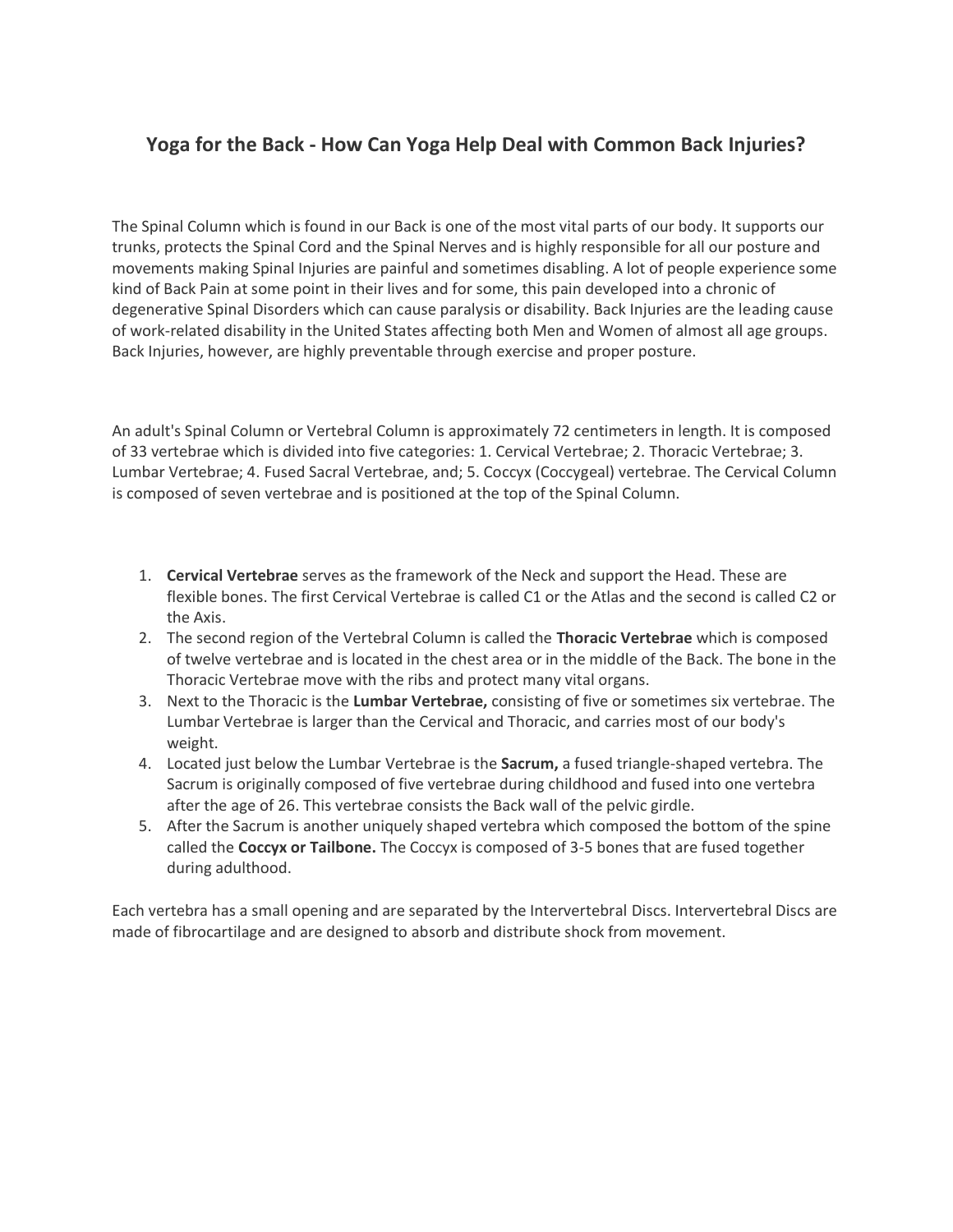# **Yoga for the Back - How Can Yoga Help Deal with Common Back Injuries?**

The Spinal Column which is found in our Back is one of the most vital parts of our body. It supports our trunks, protects the Spinal Cord and the Spinal Nerves and is highly responsible for all our posture and movements making Spinal Injuries are painful and sometimes disabling. A lot of people experience some kind of Back Pain at some point in their lives and for some, this pain developed into a chronic of degenerative Spinal Disorders which can cause paralysis or disability. Back Injuries are the leading cause of work-related disability in the United States affecting both Men and Women of almost all age groups. Back Injuries, however, are highly preventable through exercise and proper posture.

An adult's Spinal Column or Vertebral Column is approximately 72 centimeters in length. It is composed of 33 vertebrae which is divided into five categories: 1. Cervical Vertebrae; 2. Thoracic Vertebrae; 3. Lumbar Vertebrae; 4. Fused Sacral Vertebrae, and; 5. Coccyx (Coccygeal) vertebrae. The Cervical Column is composed of seven vertebrae and is positioned at the top of the Spinal Column.

- 1. **Cervical Vertebrae** serves as the framework of the Neck and support the Head. These are flexible bones. The first Cervical Vertebrae is called C1 or the Atlas and the second is called C2 or the Axis.
- 2. The second region of the Vertebral Column is called the **Thoracic Vertebrae** which is composed of twelve vertebrae and is located in the chest area or in the middle of the Back. The bone in the Thoracic Vertebrae move with the ribs and protect many vital organs.
- 3. Next to the Thoracic is the **Lumbar Vertebrae,** consisting of five or sometimes six vertebrae. The Lumbar Vertebrae is larger than the Cervical and Thoracic, and carries most of our body's weight.
- 4. Located just below the Lumbar Vertebrae is the **Sacrum,** a fused triangle-shaped vertebra. The Sacrum is originally composed of five vertebrae during childhood and fused into one vertebra after the age of 26. This vertebrae consists the Back wall of the pelvic girdle.
- 5. After the Sacrum is another uniquely shaped vertebra which composed the bottom of the spine called the **Coccyx or Tailbone.** The Coccyx is composed of 3-5 bones that are fused together during adulthood.

Each vertebra has a small opening and are separated by the Intervertebral Discs. Intervertebral Discs are made of fibrocartilage and are designed to absorb and distribute shock from movement.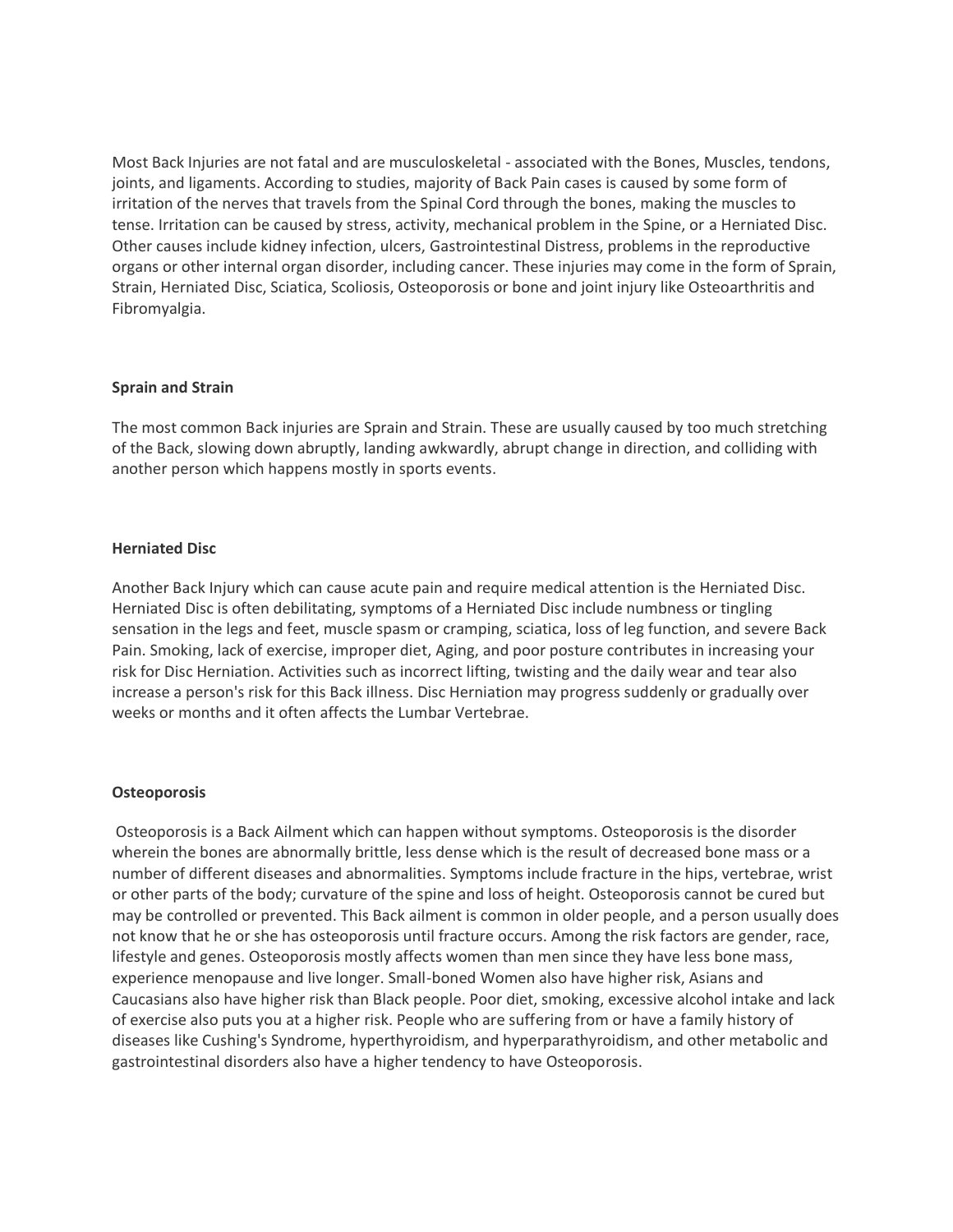Most Back Injuries are not fatal and are musculoskeletal - associated with the Bones, Muscles, tendons, joints, and ligaments. According to studies, majority of Back Pain cases is caused by some form of irritation of the nerves that travels from the Spinal Cord through the bones, making the muscles to tense. Irritation can be caused by stress, activity, mechanical problem in the Spine, or a Herniated Disc. Other causes include kidney infection, ulcers, Gastrointestinal Distress, problems in the reproductive organs or other internal organ disorder, including cancer. These injuries may come in the form of Sprain, Strain, Herniated Disc, Sciatica, Scoliosis, Osteoporosis or bone and joint injury like Osteoarthritis and Fibromyalgia.

## **Sprain and Strain**

The most common Back injuries are Sprain and Strain. These are usually caused by too much stretching of the Back, slowing down abruptly, landing awkwardly, abrupt change in direction, and colliding with another person which happens mostly in sports events.

# **Herniated Disc**

Another Back Injury which can cause acute pain and require medical attention is the Herniated Disc. Herniated Disc is often debilitating, symptoms of a Herniated Disc include numbness or tingling sensation in the legs and feet, muscle spasm or cramping, sciatica, loss of leg function, and severe Back Pain. Smoking, lack of exercise, improper diet, Aging, and poor posture contributes in increasing your risk for Disc Herniation. Activities such as incorrect lifting, twisting and the daily wear and tear also increase a person's risk for this Back illness. Disc Herniation may progress suddenly or gradually over weeks or months and it often affects the Lumbar Vertebrae.

## **Osteoporosis**

Osteoporosis is a Back Ailment which can happen without symptoms. Osteoporosis is the disorder wherein the bones are abnormally brittle, less dense which is the result of decreased bone mass or a number of different diseases and abnormalities. Symptoms include fracture in the hips, vertebrae, wrist or other parts of the body; curvature of the spine and loss of height. Osteoporosis cannot be cured but may be controlled or prevented. This Back ailment is common in older people, and a person usually does not know that he or she has osteoporosis until fracture occurs. Among the risk factors are gender, race, lifestyle and genes. Osteoporosis mostly affects women than men since they have less bone mass, experience menopause and live longer. Small-boned Women also have higher risk, Asians and Caucasians also have higher risk than Black people. Poor diet, smoking, excessive alcohol intake and lack of exercise also puts you at a higher risk. People who are suffering from or have a family history of diseases like Cushing's Syndrome, hyperthyroidism, and hyperparathyroidism, and other metabolic and gastrointestinal disorders also have a higher tendency to have Osteoporosis.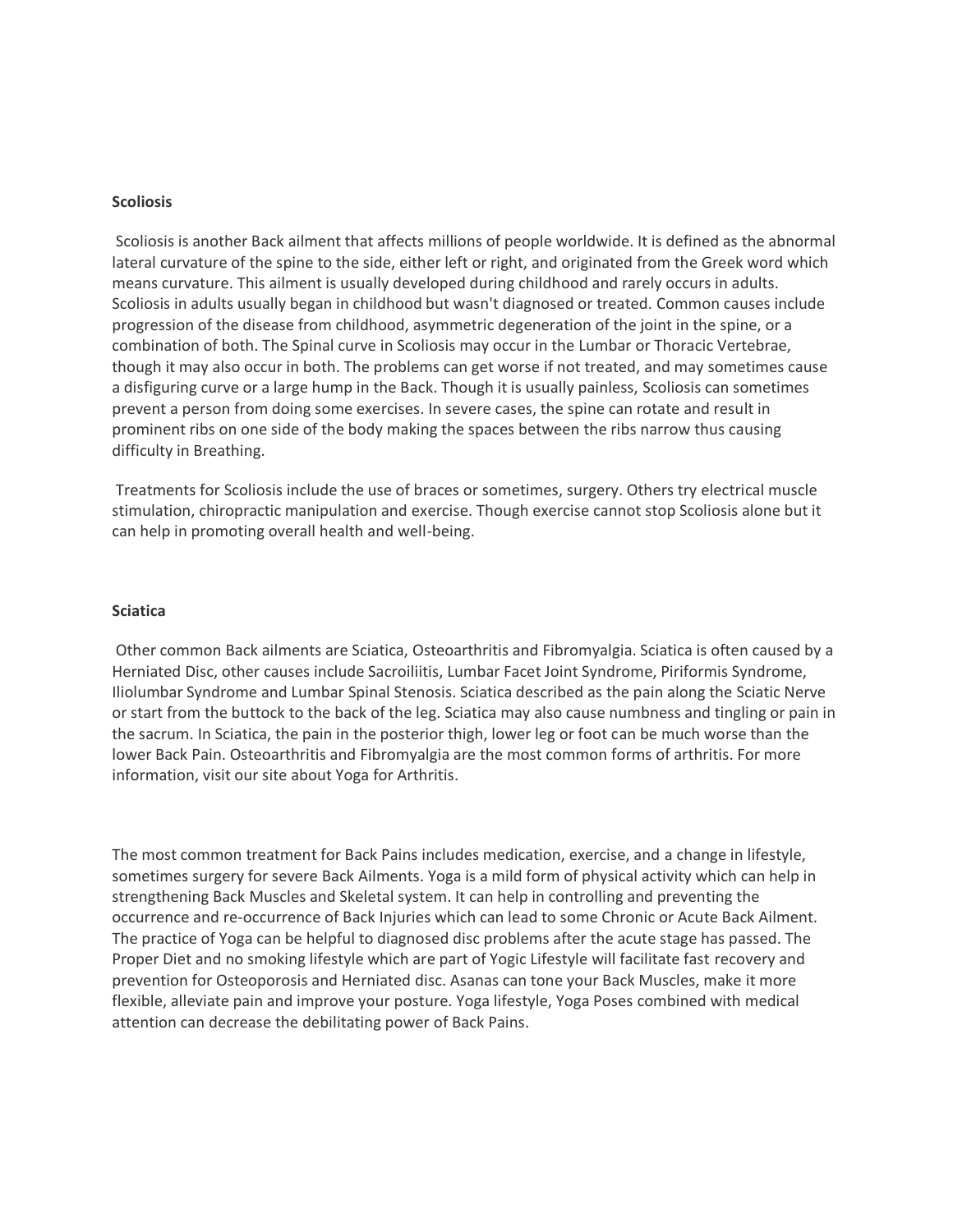#### **Scoliosis**

Scoliosis is another Back ailment that affects millions of people worldwide. It is defined as the abnormal lateral curvature of the spine to the side, either left or right, and originated from the Greek word which means curvature. This ailment is usually developed during childhood and rarely occurs in adults. Scoliosis in adults usually began in childhood but wasn't diagnosed or treated. Common causes include progression of the disease from childhood, asymmetric degeneration of the joint in the spine, or a combination of both. The Spinal curve in Scoliosis may occur in the Lumbar or Thoracic Vertebrae, though it may also occur in both. The problems can get worse if not treated, and may sometimes cause a disfiguring curve or a large hump in the Back. Though it is usually painless, Scoliosis can sometimes prevent a person from doing some exercises. In severe cases, the spine can rotate and result in prominent ribs on one side of the body making the spaces between the ribs narrow thus causing difficulty in Breathing.

Treatments for Scoliosis include the use of braces or sometimes, surgery. Others try electrical muscle stimulation, chiropractic manipulation and exercise. Though exercise cannot stop Scoliosis alone but it can help in promoting overall health and well-being.

#### **Sciatica**

Other common Back ailments are Sciatica, Osteoarthritis and Fibromyalgia. Sciatica is often caused by a Herniated Disc, other causes include Sacroiliitis, Lumbar Facet Joint Syndrome, Piriformis Syndrome, Iliolumbar Syndrome and Lumbar Spinal Stenosis. Sciatica described as the pain along the Sciatic Nerve or start from the buttock to the back of the leg. Sciatica may also cause numbness and tingling or pain in the sacrum. In Sciatica, the pain in the posterior thigh, lower leg or foot can be much worse than the lower Back Pain. Osteoarthritis and Fibromyalgia are the most common forms of arthritis. For more information, visit our site about Yoga for Arthritis.

The most common treatment for Back Pains includes medication, exercise, and a change in lifestyle, sometimes surgery for severe Back Ailments. Yoga is a mild form of physical activity which can help in strengthening Back Muscles and Skeletal system. It can help in controlling and preventing the occurrence and re-occurrence of Back Injuries which can lead to some Chronic or Acute Back Ailment. The practice of Yoga can be helpful to diagnosed disc problems after the acute stage has passed. The Proper Diet and no smoking lifestyle which are part of Yogic Lifestyle will facilitate fast recovery and prevention for Osteoporosis and Herniated disc. Asanas can tone your Back Muscles, make it more flexible, alleviate pain and improve your posture. Yoga lifestyle, Yoga Poses combined with medical attention can decrease the debilitating power of Back Pains.